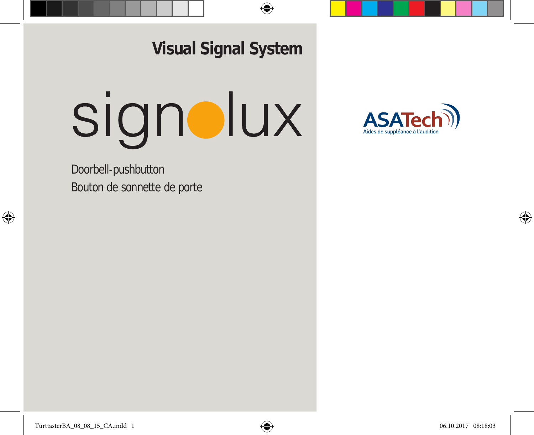**Visual Signal System**

# signolux

Doorbell-pushbutton Bouton de sonnette de porte

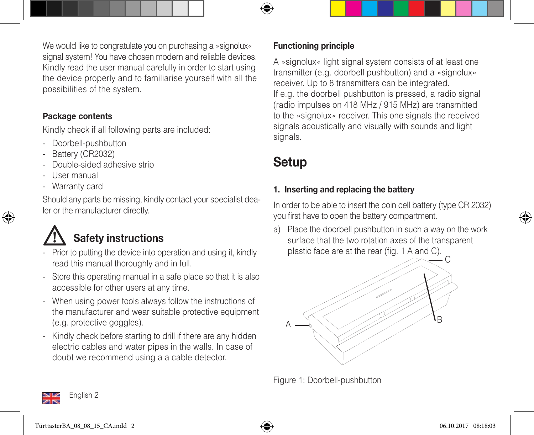We would like to congratulate you on purchasing a »signolux« signal system! You have chosen modern and reliable devices. Kindly read the user manual carefully in order to start using the device properly and to familiarise yourself with all the possibilities of the system.

#### Package contents

Kindly check if all following parts are included:

- Doorbell-pushbutton
- Battery (CR2032)
- Double-sided adhesive strip
- User manual
- Warranty card

Should any parts be missing, kindly contact your specialist dealer or the manufacturer directly.

# Safety instructions

- Prior to putting the device into operation and using it, kindly read this manual thoroughly and in full.
- Store this operating manual in a safe place so that it is also accessible for other users at any time.
- When using power tools always follow the instructions of the manufacturer and wear suitable protective equipment (e.g. protective goggles).
- Kindly check before starting to drill if there are any hidden electric cables and water pipes in the walls. In case of doubt we recommend using a a cable detector.

#### Functioning principle

A »signolux« light signal system consists of at least one transmitter (e.g. doorbell pushbutton) and a »signolux« receiver. Up to 8 transmitters can be integrated. If e.g. the doorbell pushbutton is pressed, a radio signal (radio impulses on 418 MHz / 915 MHz) are transmitted to the »signolux« receiver. This one signals the received signals acoustically and visually with sounds and light signals.

## Setup

#### 1. Inserting and replacing the battery

In order to be able to insert the coin cell battery (type CR 2032) you first have to open the battery compartment.

a) Place the doorbell pushbutton in such a way on the work surface that the two rotation axes of the transparent plastic face are at the rear (fig. 1 A and C).



Figure 1: Doorbell-pushbutton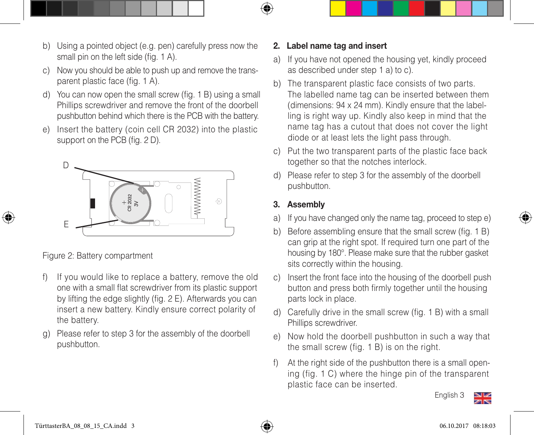- b) Using a pointed object (e.g. pen) carefully press now the small pin on the left side (fig. 1 A).
- c) Now you should be able to push up and remove the trans parent plastic face (fig. 1 A).
- d) You can now open the small screw (fig. 1 B) using a small Phillips screwdriver and remove the front of the doorbell pushbutton behind which there is the PCB with the battery.
- e) Insert the battery (coin cell CR 2032) into the plastic support on the PCB (fig. 2 D).



Figure 2: Battery compartment

- f) If you would like to replace a battery, remove the old one with a small flat screwdriver from its plastic support by lifting the edge slightly (fig. 2 E). Afterwards you can insert a new battery. Kindly ensure correct polarity of the battery.
- g) Please refer to step 3 for the assembly of the doorbell pushbutton.

#### 2. Label name tag and insert

- a) If you have not opened the housing yet, kindly proceed as described under step 1 a) to c).
- b) The transparent plastic face consists of two parts. The labelled name tag can be inserted between them (dimensions: 94 x 24 mm). Kindly ensure that the label ling is right way up. Kindly also keep in mind that the name tag has a cutout that does not cover the light diode or at least lets the light pass through.
- c) Put the two transparent parts of the plastic face back together so that the notches interlock.
- d) Please refer to step 3 for the assembly of the doorbell pushbutton.

#### 3. Assembly

- a) If you have changed only the name tag, proceed to step e)
- b) Before assembling ensure that the small screw (fig. 1 B) can grip at the right spot. If required turn one part of the housing by 180°. Please make sure that the rubber gasket sits correctly within the housing.
- c) Insert the front face into the housing of the doorbell push button and press both firmly together until the housing parts lock in place.
- d) Carefully drive in the small screw (fig. 1 B) with a small Phillips screwdriver.
- e) Now hold the doorbell pushbutton in such a way that the small screw (fig. 1 B) is on the right.
- f) At the right side of the pushbutton there is a small open ing (fig. 1 C) where the hinge pin of the transparent plastic face can be inserted.



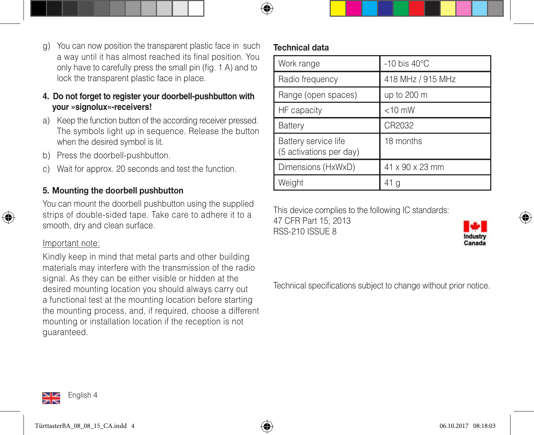- g) You can now position the transparent plastic face in such a way until it has almost reached its final position. You only have to carefully press the small pin (fig. 1 A) and to lock the transparent plastic face in place.
- **4. Do not forget to register your doorbell-pushbutton with your »signolux«-receivers!**
- a) Keep the function button of the according receiver pressed. The symbols light up in sequence. Release the button when the desired symbol is lit.
- b) Press the doorbell-pushbutton.
- c) Wait for approx. 20 seconds and test the function.

#### 5. Mounting the doorbell pushbutton

You can mount the doorbell pushbutton using the supplied strips of double-sided tape. Take care to adhere it to a smooth, dry and clean surface.

#### Important note:

Kindly keep in mind that metal parts and other building materials may interfere with the transmission of the radio signal. As they can be either visible or hidden at the desired mounting location you should always carry out a functional test at the mounting location before starting the mounting process, and, if required, choose a different mounting or installation location if the reception is not guaranteed.

#### Technical data

| Work range                                      | $-10$ bis $40^{\circ}$ C |
|-------------------------------------------------|--------------------------|
| Radio frequency                                 | 418 MHz / 915 MHz        |
| Range (open spaces)                             | up to 200 m              |
| HF capacity                                     | $<$ 10 mW                |
| Battery                                         | CR2032                   |
| Battery service life<br>(5 activations per day) | 18 months                |
| Dimensions (HxWxD)                              | 41 x 90 x 23 mm          |
| Weight                                          |                          |

This device complies to the following IC standards:

47 CFR Part 15; 2013 RSS-210 ISSUE 8



Technical specifications subject to change without prior notice.

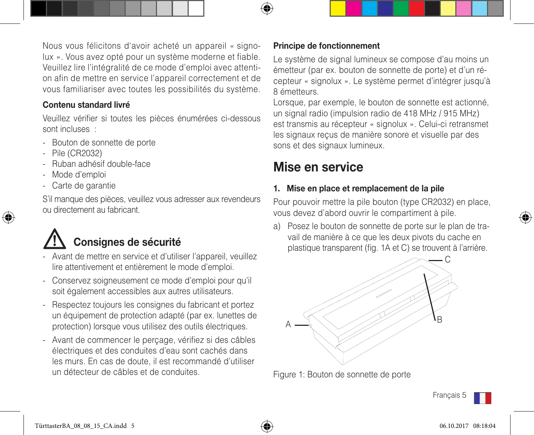Nous vous félicitons d'avoir acheté un appareil « signolux ». Vous avez opté pour un système moderne et fiable. Veuillez lire l'intégralité de ce mode d'emploi avec attention afin de mettre en service l'appareil correctement et de vous familiariser avec toutes les possibilités du système.

#### Contenu standard livré

Veuillez vérifier si toutes les pièces énumérées ci-dessous sont incluses  $\cdot$ 

- Bouton de sonnette de porte
- Pile (CR2032)
- Ruban adhésif double-face
- Mode d'emploi
- Carte de garantie

S'il manque des pièces, veuillez vous adresser aux revendeurs ou directement au fabricant.

# Consignes de sécurité

- Avant de mettre en service et d'utiliser l'appareil, veuillez lire attentivement et entièrement le mode d'emploi.
- Conservez soigneusement ce mode d'emploi pour qu'il soit également accessibles aux autres utilisateurs.
- Respectez toujours les consignes du fabricant et portez un équipement de protection adapté (par ex. lunettes de protection) lorsque vous utilisez des outils électriques.
- Avant de commencer le perçage, vérifiez si des câbles électriques et des conduites d'eau sont cachés dans les murs. En cas de doute, il est recommandé d'utiliser un détecteur de câbles et de conduites.

#### Principe de fonctionnement

Le système de signal lumineux se compose d'au moins un émetteur (par ex. bouton de sonnette de porte) et d'un récepteur « signolux ». Le système permet d'intégrer jusqu'à 8 émetteurs.

Lorsque, par exemple, le bouton de sonnette est actionné, un signal radio (impulsion radio de 418 MHz / 915 MHz) est transmis au récepteur « signolux ». Celui-ci retransmet les signaux reçus de manière sonore et visuelle par des sons et des signaux lumineux.

### Mise en service

#### 1. Mise en place et remplacement de la pile

Pour pouvoir mettre la pile bouton (type CR2032) en place, vous devez d'abord ouvrir le compartiment à pile.

a) Posez le bouton de sonnette de porte sur le plan de tra vail de manière à ce que les deux pivots du cache en plastique transparent (fig. 1A et C) se trouvent à l'arrière.



Figure 1: Bouton de sonnette de porte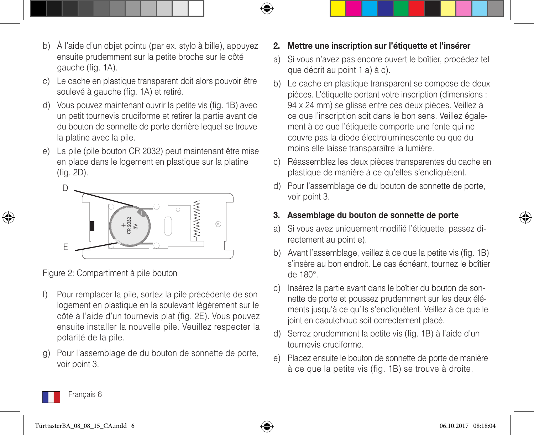- b) À l'aide d'un objet pointu (par ex. stylo à bille), appuyez ensuite prudemment sur la petite broche sur le côté gauche (fig. 1A).
- c) Le cache en plastique transparent doit alors pouvoir être soulevé à gauche (fig. 1A) et retiré.
- d) Vous pouvez maintenant ouvrir la petite vis (fig. 1B) avec un petit tournevis cruciforme et retirer la partie avant de du bouton de sonnette de porte derrière lequel se trouve la platine avec la pile.
- e) La pile (pile bouton CR 2032) peut maintenant être mise en place dans le logement en plastique sur la platine (fig. 2D).



Figure 2: Compartiment à pile bouton

- f) Pour remplacer la pile, sortez la pile précédente de son logement en plastique en la soulevant légèrement sur le côté à l'aide d'un tournevis plat (fig. 2E). Vous pouvez ensuite installer la nouvelle pile. Veuillez respecter la polarité de la pile.
- g) Pour l'assemblage de du bouton de sonnette de porte, voir point 3.

#### 2. Mettre une inscription sur l'étiquette et l'insérer

- a) Si vous n'avez pas encore ouvert le boîtier, procédez tel que décrit au point 1 a) à c).
- b) Le cache en plastique transparent se compose de deux pièces. L'étiquette portant votre inscription (dimensions : 94 x 24 mm) se glisse entre ces deux pièces. Veillez à ce que l'inscription soit dans le bon sens. Veillez égale ment à ce que l'étiquette comporte une fente qui ne couvre pas la diode électroluminescente ou que du moins elle laisse transparaître la lumière.
- c) Réassemblez les deux pièces transparentes du cache en plastique de manière à ce qu'elles s'encliquètent.
- d) Pour l'assemblage de du bouton de sonnette de porte, voir point 3.

#### 3. Assemblage du bouton de sonnette de porte

- a) Si vous avez uniquement modifié l'étiquette, passez di rectement au point e).
- b) Avant l'assemblage, veillez à ce que la petite vis (fig. 1B) s'insère au bon endroit. Le cas échéant, tournez le boîtier de 180°.
- c) Insérez la partie avant dans le boîtier du bouton de son nette de porte et poussez prudemment sur les deux élé ments jusqu'à ce qu'ils s'encliquètent. Veillez à ce que le joint en caoutchouc soit correctement placé.
- d) Serrez prudemment la petite vis (fig. 1B) à l'aide d'un tournevis cruciforme.
- e) Placez ensuite le bouton de sonnette de porte de manière à ce que la petite vis (fig. 1B) se trouve à droite.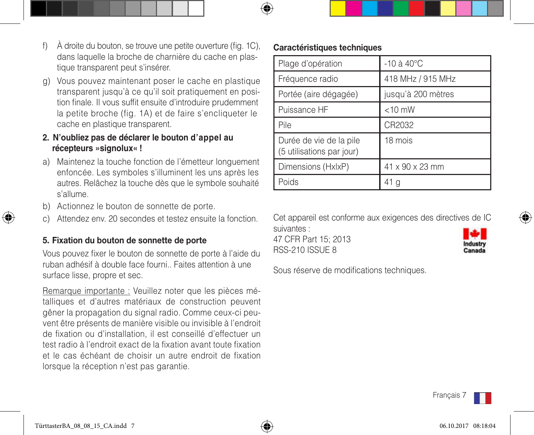- f) À droite du bouton, se trouve une petite ouverture (fig. 1C), dans laquelle la broche de charnière du cache en plas tique transparent peut s'insérer.
- g) Vous pouvez maintenant poser le cache en plastique transparent jusqu'à ce qu'il soit pratiquement en posi tion finale. Il vous suffit ensuite d'introduire prudemment la petite broche (fig. 1A) et de faire s'encliqueter le cache en plastique transparent.
- **2. N'oubliez pas de déclarer le bouton d'appel au récepteurs »signolux« !**
- a) Maintenez la touche fonction de l'émetteur longuement enfoncée. Les symboles s'illuminent les uns après les autres. Relâchez la touche dès que le symbole souhaité s'allume.
- b) Actionnez le bouton de sonnette de porte.
- c) Attendez env. 20 secondes et testez ensuite la fonction.

#### 5. Fixation du bouton de sonnette de porte

Vous pouvez fixer le bouton de sonnette de porte à l'aide du ruban adhésif à double face fourni.. Faites attention à une surface lisse, propre et sec.

Remarque importante : Veuillez noter que les pièces métalliques et d'autres matériaux de construction peuvent gêner la propagation du signal radio. Comme ceux-ci peuvent être présents de manière visible ou invisible à l'endroit de fixation ou d'installation, il est conseillé d'effectuer un test radio à l'endroit exact de la fixation avant toute fixation et le cas échéant de choisir un autre endroit de fixation lorsque la réception n'est pas garantie.

#### Caractéristiques techniques

| Plage d'opération                                    | $-10$ à $40^{\circ}$ C |
|------------------------------------------------------|------------------------|
| Fréquence radio                                      | 418 MHz / 915 MHz      |
| Portée (aire dégagée)                                | jusqu'à 200 mètres     |
| Puissance HF                                         | $<$ 10 mW              |
| Pile                                                 | CR2032                 |
| Durée de vie de la pile<br>(5 utilisations par jour) | 18 mois                |
| Dimensions (HxlxP)                                   | 41 x 90 x 23 mm        |
| Poids                                                | 41                     |

Cet appareil est conforme aux exigences des directives de IC suivantes :

47 CFR Part 15; 2013 RSS-210 ISSUE 8



Sous réserve de modifications techniques.